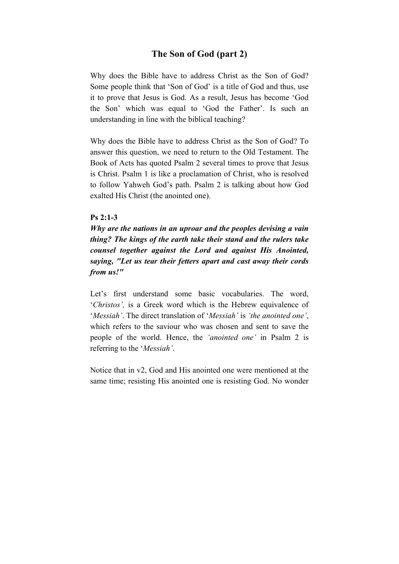# **The Son of God (part 2)**

Why does the Bible have to address Christ as the Son of God? Some people think that 'Son of God' is a title of God and thus, use it to prove that Jesus is God. As a result, Jesus has become 'God the Son' which was equal to 'God the Father'. Is such an understanding in line with the biblical teaching?

Why does the Bible have to address Christ as the Son of God? To answer this question, we need to return to the Old Testament. The Book of Acts has quoted Psalm 2 several times to prove that Jesus is Christ. Psalm 1 is like a proclamation of Christ, who is resolved to follow Yahweh God's path. Psalm 2 is talking about how God exalted His Christ (the anointed one).

### **Ps 2:1-3**

*Why are the nations in an uproar and the peoples devising a vain thing? The kings of the earth take their stand and the rulers take counsel together against the Lord and against His Anointed, saying, "Let us tear their fetters apart and cast away their cords from us!"*

Let's first understand some basic vocabularies. The word, '*Christos',* is a Greek word which is the Hebrew equivalence of '*Messiah'*. The direct translation of '*Messiah'* is *'the anointed one'*, which refers to the saviour who was chosen and sent to save the people of the world. Hence, the *'anointed one'* in Psalm 2 is referring to the '*Messiah'*.

Notice that in v2, God and His anointed one were mentioned at the same time; resisting His anointed one is resisting God. No wonder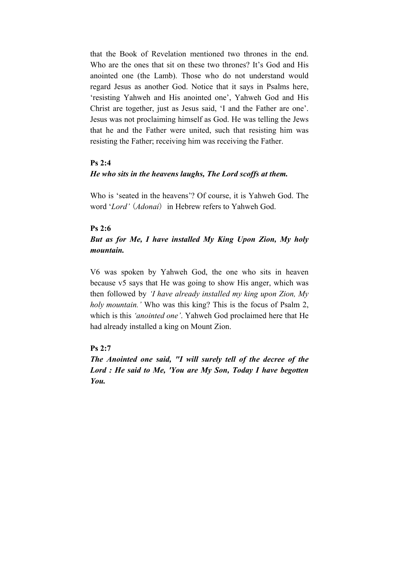that the Book of Revelation mentioned two thrones in the end. Who are the ones that sit on these two thrones? It's God and His anointed one (the Lamb). Those who do not understand would regard Jesus as another God. Notice that it says in Psalms here, 'resisting Yahweh and His anointed one', Yahweh God and His Christ are together, just as Jesus said, 'I and the Father are one'. Jesus was not proclaiming himself as God. He was telling the Jews that he and the Father were united, such that resisting him was resisting the Father; receiving him was receiving the Father.

### **Ps 2:4**

### *He who sits in the heavens laughs, The Lord scoffs at them.*

Who is 'seated in the heavens'? Of course, it is Yahweh God. The word '*Lord'* (*Adonai*) in Hebrew refers to Yahweh God.

#### **Ps 2:6**

# *But as for Me, I have installed My King Upon Zion, My holy mountain.*

V6 was spoken by Yahweh God, the one who sits in heaven because v5 says that He was going to show His anger, which was then followed by *'I have already installed my king upon Zion, My holy mountain.'* Who was this king? This is the focus of Psalm 2, which is this *'anointed one'*. Yahweh God proclaimed here that He had already installed a king on Mount Zion.

# **Ps 2:7**

*The Anointed one said, "I will surely tell of the decree of the Lord : He said to Me, 'You are My Son, Today I have begotten You.*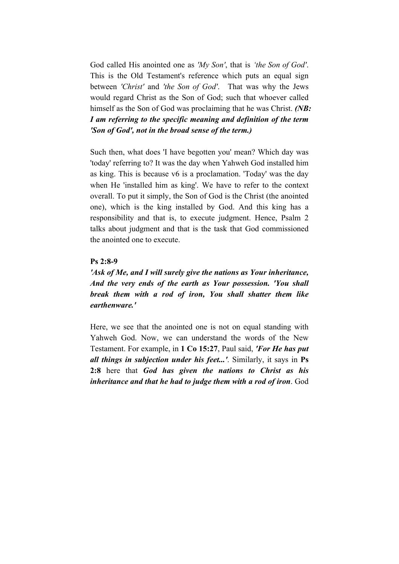God called His anointed one as *'My Son'*, that is *'the Son of God'*. This is the Old Testament's reference which puts an equal sign between *'Christ'* and *'the Son of God'*. That was why the Jews would regard Christ as the Son of God; such that whoever called himself as the Son of God was proclaiming that he was Christ. *(NB: I am referring to the specific meaning and definition of the term 'Son of God', not in the broad sense of the term.)*

Such then, what does 'I have begotten you' mean? Which day was 'today' referring to? It was the day when Yahweh God installed him as king. This is because v6 is a proclamation. 'Today' was the day when He 'installed him as king'. We have to refer to the context overall. To put it simply, the Son of God is the Christ (the anointed one), which is the king installed by God. And this king has a responsibility and that is, to execute judgment. Hence, Psalm 2 talks about judgment and that is the task that God commissioned the anointed one to execute.

#### **Ps 2:8-9**

*'Ask of Me, and I will surely give the nations as Your inheritance, And the very ends of the earth as Your possession. 'You shall break them with a rod of iron, You shall shatter them like earthenware.'*

Here, we see that the anointed one is not on equal standing with Yahweh God. Now, we can understand the words of the New Testament. For example, in **1 Co 15:27**, Paul said, *'For He has put all things in subjection under his feet...'*. Similarly, it says in **Ps 2:8** here that *God has given the nations to Christ as his inheritance and that he had to judge them with a rod of iron*. God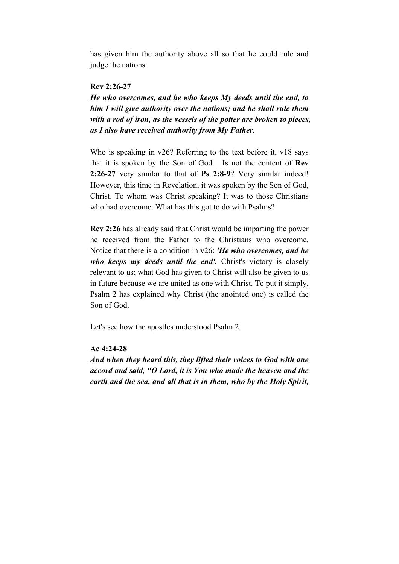has given him the authority above all so that he could rule and judge the nations.

### **Rev 2:26-27**

*He who overcomes, and he who keeps My deeds until the end, to him I will give authority over the nations; and he shall rule them with a rod of iron, as the vessels of the potter are broken to pieces, as I also have received authority from My Father.*

Who is speaking in v26? Referring to the text before it, v18 says that it is spoken by the Son of God. Is not the content of **Rev 2:26-27** very similar to that of **Ps 2:8-9**? Very similar indeed! However, this time in Revelation, it was spoken by the Son of God, Christ. To whom was Christ speaking? It was to those Christians who had overcome. What has this got to do with Psalms?

**Rev 2:26** has already said that Christ would be imparting the power he received from the Father to the Christians who overcome. Notice that there is a condition in v26: *'He who overcomes, and he who keeps my deeds until the end'.* Christ's victory is closely relevant to us; what God has given to Christ will also be given to us in future because we are united as one with Christ. To put it simply, Psalm 2 has explained why Christ (the anointed one) is called the Son of God.

Let's see how the apostles understood Psalm 2.

# **Ac 4:24-28**

*And when they heard this, they lifted their voices to God with one accord and said, "O Lord, it is You who made the heaven and the earth and the sea, and all that is in them, who by the Holy Spirit,*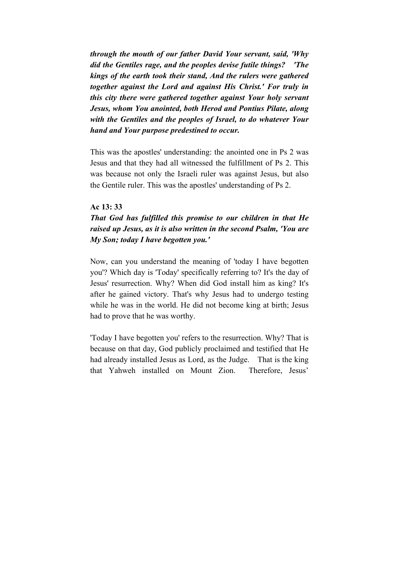*through the mouth of our father David Your servant, said, 'Why did the Gentiles rage, and the peoples devise futile things? 'The kings of the earth took their stand, And the rulers were gathered together against the Lord and against His Christ.' For truly in this city there were gathered together against Your holy servant Jesus, whom You anointed, both Herod and Pontius Pilate, along with the Gentiles and the peoples of Israel, to do whatever Your hand and Your purpose predestined to occur.*

This was the apostles' understanding: the anointed one in Ps 2 was Jesus and that they had all witnessed the fulfillment of Ps 2. This was because not only the Israeli ruler was against Jesus, but also the Gentile ruler. This was the apostles' understanding of Ps 2.

#### **Ac 13: 33**

# *That God has fulfilled this promise to our children in that He raised up Jesus, as it is also written in the second Psalm, 'You are My Son; today I have begotten you.'*

Now, can you understand the meaning of 'today I have begotten you'? Which day is 'Today' specifically referring to? It's the day of Jesus' resurrection. Why? When did God install him as king? It's after he gained victory. That's why Jesus had to undergo testing while he was in the world. He did not become king at birth; Jesus had to prove that he was worthy.

'Today I have begotten you' refers to the resurrection. Why? That is because on that day, God publicly proclaimed and testified that He had already installed Jesus as Lord, as the Judge. That is the king that Yahweh installed on Mount Zion. Therefore, Jesus'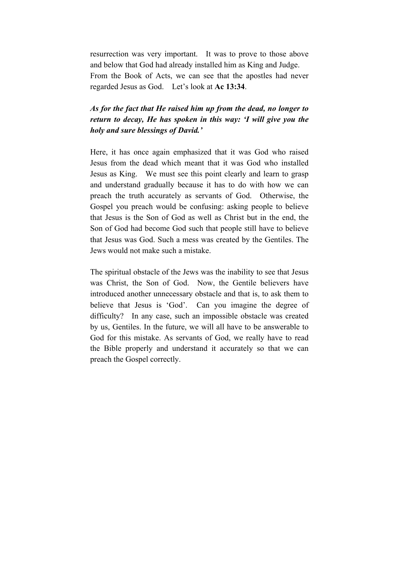resurrection was very important. It was to prove to those above and below that God had already installed him as King and Judge. From the Book of Acts, we can see that the apostles had never regarded Jesus as God. Let's look at **Ac 13:34**.

# *As for the fact that He raised him up from the dead, no longer to return to decay, He has spoken in this way: 'I will give you the holy and sure blessings of David.'*

Here, it has once again emphasized that it was God who raised Jesus from the dead which meant that it was God who installed Jesus as King. We must see this point clearly and learn to grasp and understand gradually because it has to do with how we can preach the truth accurately as servants of God. Otherwise, the Gospel you preach would be confusing: asking people to believe that Jesus is the Son of God as well as Christ but in the end, the Son of God had become God such that people still have to believe that Jesus was God. Such a mess was created by the Gentiles. The Jews would not make such a mistake.

The spiritual obstacle of the Jews was the inability to see that Jesus was Christ, the Son of God. Now, the Gentile believers have introduced another unnecessary obstacle and that is, to ask them to believe that Jesus is 'God'. Can you imagine the degree of difficulty? In any case, such an impossible obstacle was created by us, Gentiles. In the future, we will all have to be answerable to God for this mistake. As servants of God, we really have to read the Bible properly and understand it accurately so that we can preach the Gospel correctly.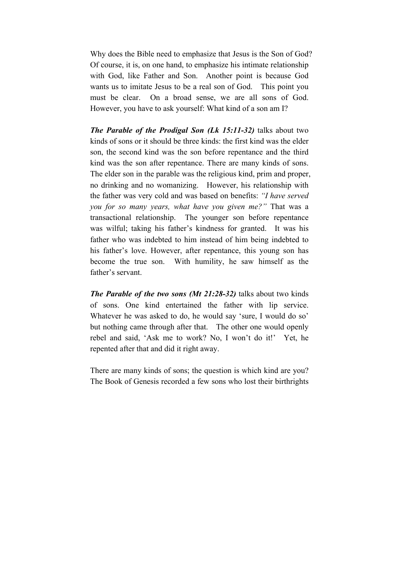Why does the Bible need to emphasize that Jesus is the Son of God? Of course, it is, on one hand, to emphasize his intimate relationship with God, like Father and Son. Another point is because God wants us to imitate Jesus to be a real son of God. This point you must be clear. On a broad sense, we are all sons of God. However, you have to ask yourself: What kind of a son am I?

*The Parable of the Prodigal Son (Lk 15:11-32)* talks about two kinds of sons or it should be three kinds: the first kind was the elder son, the second kind was the son before repentance and the third kind was the son after repentance. There are many kinds of sons. The elder son in the parable was the religious kind, prim and proper, no drinking and no womanizing. However, his relationship with the father was very cold and was based on benefits: *"I have served you for so many years, what have you given me?"* That was a transactional relationship. The younger son before repentance was wilful; taking his father's kindness for granted. It was his father who was indebted to him instead of him being indebted to his father's love. However, after repentance, this young son has become the true son. With humility, he saw himself as the father's servant.

*The Parable of the two sons (Mt 21:28-32)* talks about two kinds of sons. One kind entertained the father with lip service. Whatever he was asked to do, he would say 'sure, I would do so' but nothing came through after that. The other one would openly rebel and said, 'Ask me to work? No, I won't do it!' Yet, he repented after that and did it right away.

There are many kinds of sons; the question is which kind are you? The Book of Genesis recorded a few sons who lost their birthrights